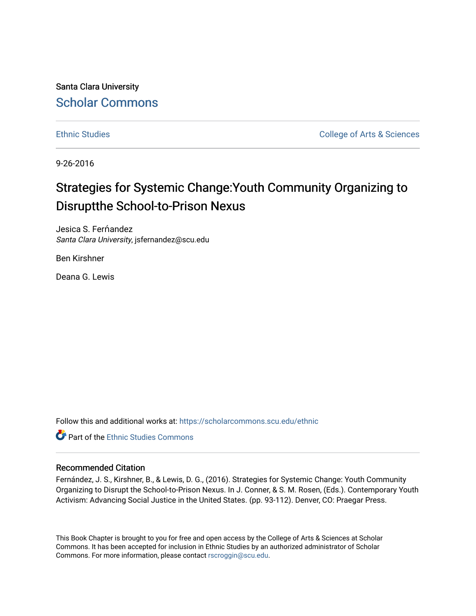Santa Clara University [Scholar Commons](https://scholarcommons.scu.edu/) 

[Ethnic Studies](https://scholarcommons.scu.edu/ethnic) [College of Arts & Sciences](https://scholarcommons.scu.edu/cas) 

9-26-2016

# Strategies for Systemic Change:Youth Community Organizing to Disruptthe School-to-Prison Nexus

Jesica S. Ferńandez Santa Clara University, jsfernandez@scu.edu

Ben Kirshner

Deana G. Lewis

Follow this and additional works at: [https://scholarcommons.scu.edu/ethnic](https://scholarcommons.scu.edu/ethnic?utm_source=scholarcommons.scu.edu%2Fethnic%2F50&utm_medium=PDF&utm_campaign=PDFCoverPages) 

**C** Part of the [Ethnic Studies Commons](http://network.bepress.com/hgg/discipline/570?utm_source=scholarcommons.scu.edu%2Fethnic%2F50&utm_medium=PDF&utm_campaign=PDFCoverPages)

## Recommended Citation

Fernández, J. S., Kirshner, B., & Lewis, D. G., (2016). Strategies for Systemic Change: Youth Community Organizing to Disrupt the School-to-Prison Nexus. In J. Conner, & S. M. Rosen, (Eds.). Contemporary Youth Activism: Advancing Social Justice in the United States. (pp. 93-112). Denver, CO: Praegar Press.

This Book Chapter is brought to you for free and open access by the College of Arts & Sciences at Scholar Commons. It has been accepted for inclusion in Ethnic Studies by an authorized administrator of Scholar Commons. For more information, please contact [rscroggin@scu.edu](mailto:rscroggin@scu.edu).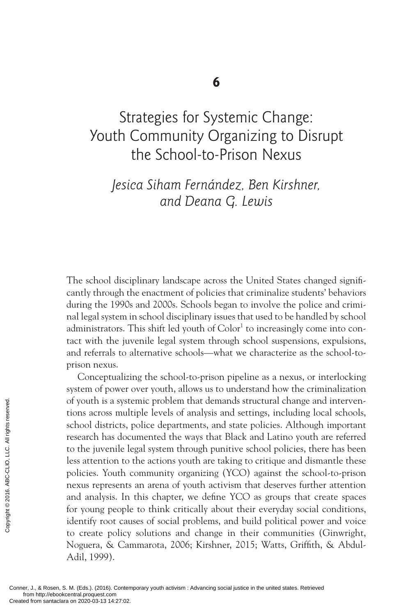## Strategies for Systemic Change: Youth Community Organizing to Disrupt the School-to-Prison Nexus

*Jesica Siham Fernández, Ben Kirshner, and Deana G. Lewis*

The school disciplinary landscape across the United States changed significantly through the enactment of policies that criminalize students' behaviors during the 1990s and 2000s. Schools began to involve the police and criminal legal system in school disciplinary issues that used to be handled by school administrators. This shift led youth of  $Color<sup>1</sup>$  to increasingly come into contact with the juvenile legal system through school suspensions, expulsions, and referrals to alternative schools—what we characterize as the school-toprison nexus.

Conceptualizing the school-to-prison pipeline as a nexus, or interlocking system of power over youth, allows us to understand how the criminalization of youth is a systemic problem that demands structural change and interventions across multiple levels of analysis and settings, including local schools, school districts, police departments, and state policies. Although important research has documented the ways that Black and Latino youth are referred to the juvenile legal system through punitive school policies, there has been less attention to the actions youth are taking to critique and dismantle these policies. Youth community organizing (YCO) against the school-to-prison nexus represents an arena of youth activism that deserves further attention and analysis. In this chapter, we define YCO as groups that create spaces for young people to think critically about their everyday social conditions, identify root causes of social problems, and build political power and voice to create policy solutions and change in their communities (Ginwright, Noguera, & Cammarota, 2006; Kirshner, 2015; Watts, Griffith, & Abdul-Adil, 1999). France of youth is a syst<br>tions across mul<br>school districts,<br>research has doc<br>to the juvenile le<br>less attention to<br>policies. Youth<br>nexus represents<br>and analysis. In<br>for young people<br>identify root cau<br>to create policy<br>Nogue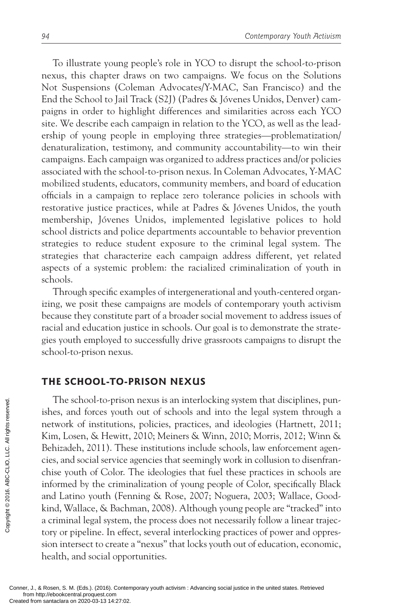To illustrate young people's role in YCO to disrupt the school-to-prison nexus, this chapter draws on two campaigns. We focus on the Solutions Not Suspensions (Coleman Advocates/Y-MAC, San Francisco) and the End the School to Jail Track (S2J) (Padres & Jóvenes Unidos, Denver) campaigns in order to highlight differences and similarities across each YCO site. We describe each campaign in relation to the YCO, as well as the leadership of young people in employing three strategies—problematization/ denaturalization, testimony, and community accountability—to win their campaigns. Each campaign was organized to address practices and/or policies associated with the school-to-prison nexus. In Coleman Advocates, Y-MAC mobilized students, educators, community members, and board of education officials in a campaign to replace zero tolerance policies in schools with restorative justice practices, while at Padres & Jóvenes Unidos, the youth membership, Jóvenes Unidos, implemented legislative polices to hold school districts and police departments accountable to behavior prevention strategies to reduce student exposure to the criminal legal system. The strategies that characterize each campaign address different, yet related aspects of a systemic problem: the racialized criminalization of youth in schools.

Through specific examples of intergenerational and youth-centered organizing, we posit these campaigns are models of contemporary youth activism because they constitute part of a broader social movement to address issues of racial and education justice in schools. Our goal is to demonstrate the strategies youth employed to successfully drive grassroots campaigns to disrupt the school-to-prison nexus.

### **THE SCHOOL-TO-PRISON NEXUS**

The school-to-prison nexus is an interlocking system that disciplines, punishes, and forces youth out of schools and into the legal system through a network of institutions, policies, practices, and ideologies (Hartnett, 2011; Kim, Losen, & Hewitt, 2010; Meiners & Winn, 2010; Morris, 2012; Winn & Behizadeh, 2011). These institutions include schools, law enforcement agencies, and social service agencies that seemingly work in collusion to disenfranchise youth of Color. The ideologies that fuel these practices in schools are informed by the criminalization of young people of Color, specifically Black and Latino youth (Fenning & Rose, 2007; Noguera, 2003; Wallace, Goodkind, Wallace, & Bachman, 2008). Although young people are "tracked" into a criminal legal system, the process does not necessarily follow a linear trajectory or pipeline. In effect, several interlocking practices of power and oppression intersect to create a "nexus" that locks youth out of education, economic, health, and social opportunities. The school-to-prison<br>
ishes, and forces youth<br>
network of institution:<br>
Kim, Losen, & Hewitt,<br>
Behizadeh, 2011). The<br>
cies, and social service :<br>
chise youth of Color.<br>
informed by the crimin<br>
and Latino youth (Fer<br>
kind,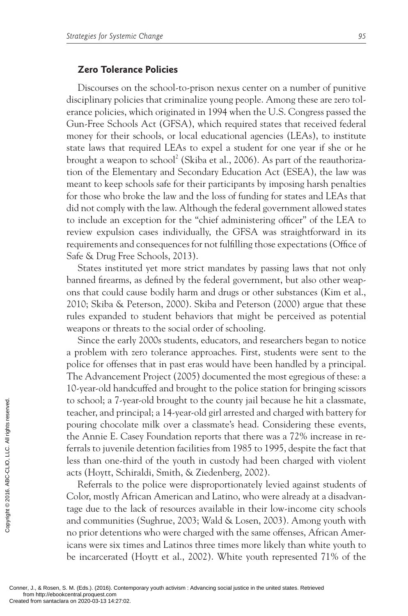#### **Zero Tolerance Policies**

Discourses on the school-to-prison nexus center on a number of punitive disciplinary policies that criminalize young people. Among these are zero tolerance policies, which originated in 1994 when the U.S. Congress passed the Gun-Free Schools Act (GFSA), which required states that received federal money for their schools, or local educational agencies (LEAs), to institute state laws that required LEAs to expel a student for one year if she or he brought a weapon to school<sup>2</sup> [\(](#page-17-0)Skiba et al., 2006). As part of the reauthorization of the Elementary and Secondary Education Act (ESEA), the law was meant to keep schools safe for their participants by imposing harsh penalties for those who broke the law and the loss of funding for states and LEAs that did not comply with the law. Although the federal government allowed states to include an exception for the "chief administering officer" of the LEA to review expulsion cases individually, the GFSA was straightforward in its requirements and consequences for not fulfilling those expectations (Office of Safe & Drug Free Schools, 2013).

States instituted yet more strict mandates by passing laws that not only banned firearms, as defined by the federal government, but also other weapons that could cause bodily harm and drugs or other substances (Kim et al., 2010; Skiba & Peterson, 2000). Skiba and Peterson (2000) argue that these rules expanded to student behaviors that might be perceived as potential weapons or threats to the social order of schooling.

Since the early 2000s students, educators, and researchers began to notice a problem with zero tolerance approaches. First, students were sent to the police for offenses that in past eras would have been handled by a principal. The Advancement Project (2005) documented the most egregious of these: a 10-year-old handcuffed and brought to the police station for bringing scissors to school; a 7-year-old brought to the county jail because he hit a classmate, teacher, and principal; a 14-year-old girl arrested and charged with battery for pouring chocolate milk over a classmate's head. Considering these events, the Annie E. Casey Foundation reports that there was a 72% increase in referrals to juvenile detention facilities from 1985 to 1995, despite the fact that less than one-third of the youth in custody had been charged with violent acts (Hoytt, Schiraldi, Smith, & Ziedenberg, 2002).

Referrals to the police were disproportionately levied against students of Color, mostly African American and Latino, who were already at a disadvantage due to the lack of resources available in their low-income city schools and communities (Sughrue, 2003; Wald & Losen, 2003). Among youth with no prior detentions who were charged with the same offenses, African Americans were six times and Latinos three times more likely than white youth to be incarcerated (Hoytt et al., 2002). White youth represented 71% of the Formation of the Annie E. Cannot and prime in the Annie E. Cannot developed and conner, J., & Rosen, S. M. (Eds.). (2016). Conter Created from santaclara on 2020-03-13 14:27:02.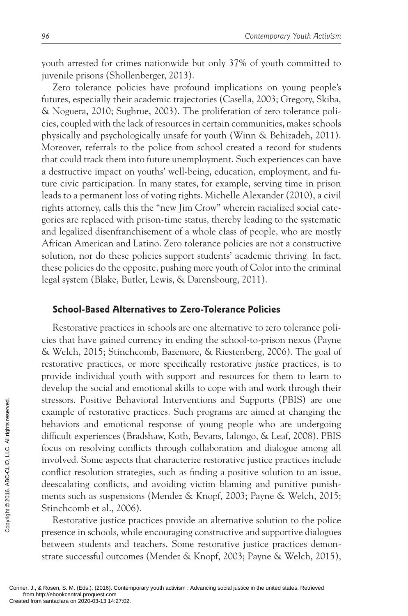youth arrested for crimes nationwide but only 37% of youth committed to juvenile prisons (Shollenberger, 2013).

Zero tolerance policies have profound implications on young people's futures, especially their academic trajectories (Casella, 2003; Gregory, Skiba, & Noguera, 2010; Sughrue, 2003). The proliferation of zero tolerance policies, coupled with the lack of resources in certain communities, makes schools physically and psychologically unsafe for youth (Winn & Behizadeh, 2011). Moreover, referrals to the police from school created a record for students that could track them into future unemployment. Such experiences can have a destructive impact on youths' well-being, education, employment, and future civic participation. In many states, for example, serving time in prison leads to a permanent loss of voting rights. Michelle Alexander (2010), a civil rights attorney, calls this the "new Jim Crow" wherein racialized social categories are replaced with prison-time status, thereby leading to the systematic and legalized disenfranchisement of a whole class of people, who are mostly African American and Latino. Zero tolerance policies are not a constructive solution, nor do these policies support students' academic thriving. In fact, these policies do the opposite, pushing more youth of Color into the criminal legal system (Blake, Butler, Lewis, & Darensbourg, 2011).

#### **School-Based Alternatives to Zero-Tolerance Policies**

Restorative practices in schools are one alternative to zero tolerance policies that have gained currency in ending the school-to-prison nexus (Payne & Welch, 2015; Stinchcomb, Bazemore, & Riestenberg, 2006). The goal of restorative practices, or more specifically restorative *justice* practices, is to provide individual youth with support and resources for them to learn to develop the social and emotional skills to cope with and work through their stressors. Positive Behavioral Interventions and Supports (PBIS) are one example of restorative practices. Such programs are aimed at changing the behaviors and emotional response of young people who are undergoing difficult experiences (Bradshaw, Koth, Bevans, Ialongo, & Leaf, 2008). PBIS focus on resolving conflicts through collaboration and dialogue among all involved. Some aspects that characterize restorative justice practices include conflict resolution strategies, such as finding a positive solution to an issue, deescalating conflicts, and avoiding victim blaming and punitive punishments such as suspensions (Mendez & Knopf, 2003; Payne & Welch, 2015; Stinchcomb et al., 2006). Stressors. Positive Beh<br>
example of restorative<br>
behaviors and emotio<br>
difficult experiences (E<br>
focus on resolving cor<br>
involved. Some aspects<br>
conflict resolution stra<br>
deescalating conflicts,<br>
ments such as suspensi<br>
St

Restorative justice practices provide an alternative solution to the police presence in schools, while encouraging constructive and supportive dialogues between students and teachers. Some restorative justice practices demonstrate successful outcomes (Mendez & Knopf, 2003; Payne & Welch, 2015),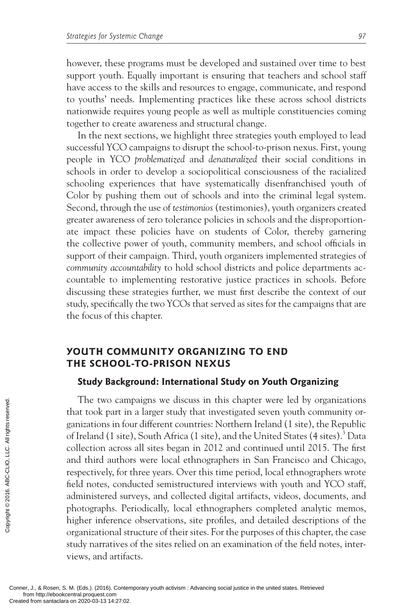however, these programs must be developed and sustained over time to best support youth. Equally important is ensuring that teachers and school staff have access to the skills and resources to engage, communicate, and respond to youths' needs. Implementing practices like these across school districts nationwide requires young people as well as multiple constituencies coming together to create awareness and structural change.

In the next sections, we highlight three strategies youth employed to lead successful YCO campaigns to disrupt the school-to-prison nexus. First, young people in YCO *problematized* and *denaturalized* their social conditions in schools in order to develop a sociopolitical consciousness of the racialized schooling experiences that have systematically disenfranchised youth of Color by pushing them out of schools and into the criminal legal system. Second, through the use of *testimonios* (testimonies), youth organizers created greater awareness of zero tolerance policies in schools and the disproportionate impact these policies have on students of Color, thereby garnering the collective power of youth, community members, and school officials in support of their campaign. Third, youth organizers implemented strategies of *community accountability* to hold school districts and police departments accountable to implementing restorative justice practices in schools. Before discussing these strategies further, we must first describe the context of our study, specifically the two YCOs that served as sites for the campaigns that are the focus of this chapter.

## **YOUTH COMMUNITY ORGANIZING TO END THE SCHOOL-TO-PRISON NEXUS**

#### **Study Background: International Study on Youth Organizing**

The two campaigns we discuss in this chapter were led by organizations that took part in a larger study that investigated seven youth community organizations in four different countries: Northern Ireland (1 site), the Republic of Ireland (1 site), South Africa (1 site), and the United States (4 sites).<sup>3</sup> Data collection across all sites began in 2012 and continued until 2015. The first and third authors were local ethnographers in San Francisco and Chicago, respectively, for three years. Over this time period, local ethnographers wrote field notes, conducted semistructured interviews with youth and YCO staff, administered surveys, and collected digital artifacts, videos, documents, and photographs. Periodically, local ethnographers completed analytic memos, higher inference observations, site profiles, and detailed descriptions of the organizational structure of their sites. For the purposes of this chapter, the case study narratives of the sites relied on an examination of the field notes, interviews, and artifacts. From that took part in ganizations in formulated and third author<br>ganizations in formulated (1 site<br>collection across<br>and third author<br>respectively, for infeld notes, cond<br>administered sure photographs. Pe<br>higher inference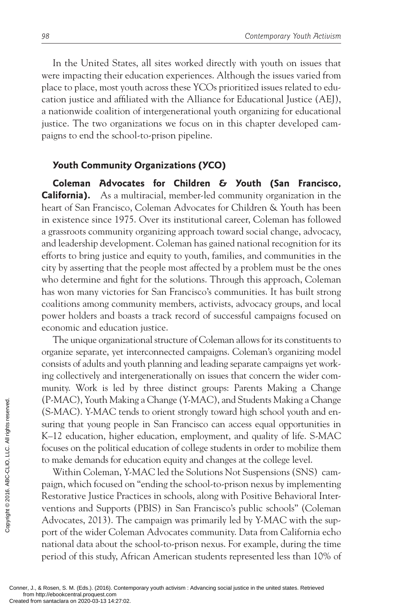In the United States, all sites worked directly with youth on issues that were impacting their education experiences. Although the issues varied from place to place, most youth across these YCOs prioritized issues related to education justice and affiliated with the Alliance for Educational Justice (AEJ), a nationwide coalition of intergenerational youth organizing for educational justice. The two organizations we focus on in this chapter developed campaigns to end the school-to-prison pipeline.

#### **Youth Community Organizations (YCO)**

**Coleman Advocates for Children & Youth (San Francisco, California).** As a multiracial, member-led community organization in the heart of San Francisco, Coleman Advocates for Children & Youth has been in existence since 1975. Over its institutional career, Coleman has followed a grassroots community organizing approach toward social change, advocacy, and leadership development. Coleman has gained national recognition for its efforts to bring justice and equity to youth, families, and communities in the city by asserting that the people most affected by a problem must be the ones who determine and fight for the solutions. Through this approach, Coleman has won many victories for San Francisco's communities. It has built strong coalitions among community members, activists, advocacy groups, and local power holders and boasts a track record of successful campaigns focused on economic and education justice.

The unique organizational structure of Coleman allows for its constituents to organize separate, yet interconnected campaigns. Coleman's organizing model consists of adults and youth planning and leading separate campaigns yet working collectively and intergenerationally on issues that concern the wider community. Work is led by three distinct groups: Parents Making a Change (P-MAC), Youth Making a Change (Y-MAC), and Students Making a Change (S-MAC). Y-MAC tends to orient strongly toward high school youth and ensuring that young people in San Francisco can access equal opportunities in K–12 education, higher education, employment, and quality of life. S-MAC focuses on the political education of college students in order to mobilize them to make demands for education equity and changes at the college level.

Within Coleman, Y-MAC led the Solutions Not Suspensions (SNS) campaign, which focused on "ending the school-to-prison nexus by implementing Restorative Justice Practices in schools, along with Positive Behavioral Interventions and Supports (PBIS) in San Francisco's public schools" (Coleman Advocates, 2013). The campaign was primarily led by Y-MAC with the support of the wider Coleman Advocates community. Data from California echo national data about the school-to-prison nexus. For example, during the time period of this study, African American students represented less than 10% of Example 12: CP-MAC), Youth Makin<br>
(S-MAC). Y-MAC ten<br>
suring that young peop<br>  $K-12$  education, highe<br>
focuses on the political<br>
to make demands for ec<br>
Within Coleman, Y-<br>
paign, which focused on<br>
Restorative Justice Praa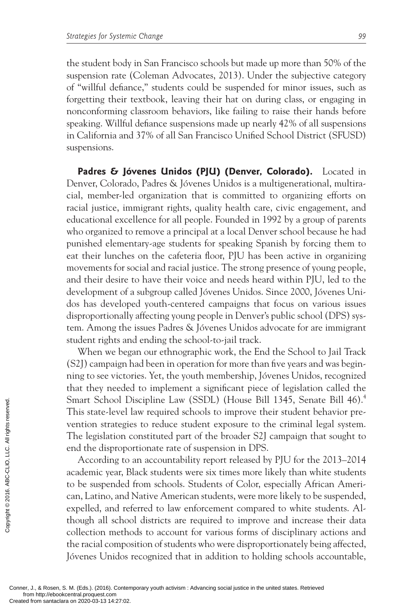the student body in San Francisco schools but made up more than 50% of the suspension rate (Coleman Advocates, 2013). Under the subjective category of "willful defiance," students could be suspended for minor issues, such as forgetting their textbook, leaving their hat on during class, or engaging in nonconforming classroom behaviors, like failing to raise their hands before speaking. Willful defiance suspensions made up nearly 42% of all suspensions in California and 37% of all San Francisco Unified School District (SFUSD) suspensions.

Padres & Jóvenes Unidos (PJU) (Denver, Colorado). Located in Denver, Colorado, Padres & Jóvenes Unidos is a multigenerational, multiracial, member-led organization that is committed to organizing efforts on racial justice, immigrant rights, quality health care, civic engagement, and educational excellence for all people. Founded in 1992 by a group of parents who organized to remove a principal at a local Denver school because he had punished elementary-age students for speaking Spanish by forcing them to eat their lunches on the cafeteria floor, PJU has been active in organizing movements for social and racial justice. The strong presence of young people, and their desire to have their voice and needs heard within PJU, led to the development of a subgroup called Jóvenes Unidos. Since 2000, Jóvenes Unidos has developed youth-centered campaigns that focus on various issues disproportionally affecting young people in Denver's public school (DPS) system. Among the issues Padres & Jóvenes Unidos advocate for are immigrant student rights and ending the school-to-jail track.

When we began our ethnographic work, the End the School to Jail Track (S2J) campaign had been in operation for more than five years and was beginning to see victories. Yet, the youth membership, Jóvenes Unidos, recognized that they needed to implement a significant piece of legislation called t[he](#page-17-0)  Smart School Discipline Law (SSDL) (House Bill 1345, Senate Bill 46).<sup>4</sup> This state-level law required schools to improve their student behavior prevention strategies to reduce student exposure to the criminal legal system. The legislation constituted part of the broader S2J campaign that sought to end the disproportionate rate of suspension in DPS.

According to an accountability report released by PJU for the 2013–2014 academic year, Black students were six times more likely than white students to be suspended from schools. Students of Color, especially African American, Latino, and Native American students, were more likely to be suspended, expelled, and referred to law enforcement compared to white students. Although all school districts are required to improve and increase their data collection methods to account for various forms of disciplinary actions and the racial composition of students who were disproportionately being affected, Jóvenes Unidos recognized that in addition to holding schools accountable, Smart School L<br>
Fassence Preserved<br>
Proposed and the disproposed<br>
end the disproposed and the disproposed and the disproposed<br>
exceeding to academic year, B<br>
to be suspended<br>
can, Latino, and<br>
expelled, and re<br>
though all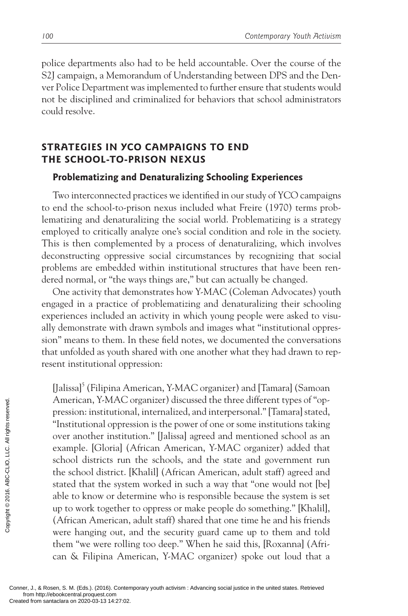police departments also had to be held accountable. Over the course of the S2J campaign, a Memorandum of Understanding between DPS and the Denver Police Department was implemented to further ensure that students would not be disciplined and criminalized for behaviors that school administrators could resolve.

## **STRATEGIES IN YCO CAMPAIGNS TO END THE SCHOOL-TO-PRISON NEXUS**

#### **Problematizing and Denaturalizing Schooling Experiences**

Two interconnected practices we identified in our study of YCO campaigns to end the school-to-prison nexus included what Freire (1970) terms problematizing and denaturalizing the social world. Problematizing is a strategy employed to critically analyze one's social condition and role in the society. This is then complemented by a process of denaturalizing, which involves deconstructing oppressive social circumstances by recognizing that social problems are embedded within institutional structures that have been rendered normal, or "the ways things are," but can actually be changed.

One activity that demonstrates how Y-MAC (Coleman Advocates) youth engaged in a practice of problematizing and denaturalizing their schooling experiences included an activity in which young people were asked to visually demonstrate with drawn symbols and images what "institutional oppression" means to them. In these field notes, we documented the conversations that unfolded as youth shared with one another what they had drawn to represent institutional oppression:

[Jalissa]<sup>5</sup> (Filipina American, Y-MAC organizer) and [Tamara] (Samoan American, Y-MAC organizer) discussed the three different types of "oppression: institutional, internalized, and interpersonal." [Tamara] stated, "Institutional oppression is the power of one or some institutions taking over another institution." [Jalissa] agreed and mentioned school as an example. [Gloria] (African American, Y-MAC organizer) added that school districts run the schools, and the state and government run the school district. [Khalil] (African American, adult staff) agreed and stated that the system worked in such a way that "one would not [be] able to know or determine who is responsible because the system is set up to work together to oppress or make people do something." [Khalil], (African American, adult staff) shared that one time he and his friends were hanging out, and the security guard came up to them and told them "we were rolling too deep." When he said this, [Roxanna] (African & Filipina American, Y-MAC organizer) spoke out loud that a France Conterts of the school districts run<br>
engine over another institution of the school districts run<br>
the school districts run<br>
the school district. |<br>
stated that the syste<br>
able to know or det<br>
up to work together<br>
(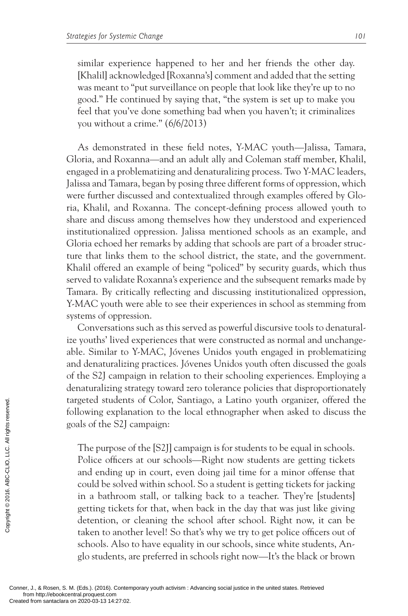similar experience happened to her and her friends the other day. [Khalil] acknowledged [Roxanna's] comment and added that the setting was meant to "put surveillance on people that look like they're up to no good." He continued by saying that, "the system is set up to make you feel that you've done something bad when you haven't; it criminalizes you without a crime." (6/6/2013)

As demonstrated in these field notes, Y-MAC youth—Jalissa, Tamara, Gloria, and Roxanna—and an adult ally and Coleman staff member, Khalil, engaged in a problematizing and denaturalizing process. Two Y-MAC leaders, Jalissa and Tamara, began by posing three different forms of oppression, which were further discussed and contextualized through examples offered by Gloria, Khalil, and Roxanna. The concept-defining process allowed youth to share and discuss among themselves how they understood and experienced institutionalized oppression. Jalissa mentioned schools as an example, and Gloria echoed her remarks by adding that schools are part of a broader structure that links them to the school district, the state, and the government. Khalil offered an example of being "policed" by security guards, which thus served to validate Roxanna's experience and the subsequent remarks made by Tamara. By critically reflecting and discussing institutionalized oppression, Y-MAC youth were able to see their experiences in school as stemming from systems of oppression.

Conversations such as this served as powerful discursive tools to denaturalize youths' lived experiences that were constructed as normal and unchangeable. Similar to Y-MAC, Jóvenes Unidos youth engaged in problematizing and denaturalizing practices. Jóvenes Unidos youth often discussed the goals of the S2J campaign in relation to their schooling experiences. Employing a denaturalizing strategy toward zero tolerance policies that disproportionately targeted students of Color, Santiago, a Latino youth organizer, offered the following explanation to the local ethnographer when asked to discuss the goals of the S2J campaign:

The purpose of the [S2J] campaign is for students to be equal in schools. Police officers at our schools—Right now students are getting tickets and ending up in court, even doing jail time for a minor offense that could be solved within school. So a student is getting tickets for jacking in a bathroom stall, or talking back to a teacher. They're [students] getting tickets for that, when back in the day that was just like giving detention, or cleaning the school after school. Right now, it can be taken to another level! So that's why we try to get police officers out of schools. Also to have equality in our schools, since white students, Anglo students, are preferred in schools right now—It's the black or brown Expected student<br>
following explant<br>
goals of the S2J<br>
goals of the S2J<br>
The purpose c<br>
Police officers<br>
and ending u<br>
could be solve<br>
in a bathroot<br>
getting ticket<br>
detention, or<br>
taken to anot<br>
schools. Also<br>
glo student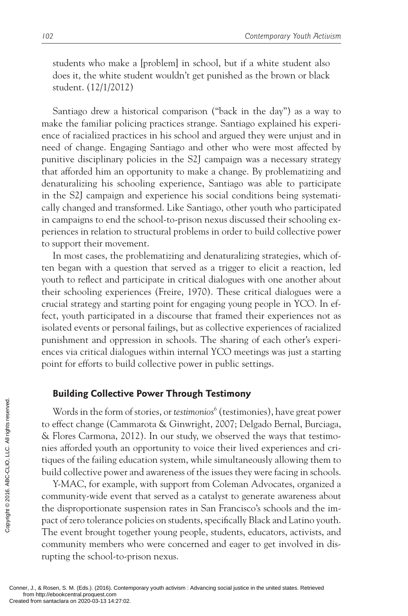students who make a [problem] in school, but if a white student also does it, the white student wouldn't get punished as the brown or black student. (12/1/2012)

Santiago drew a historical comparison ("back in the day") as a way to make the familiar policing practices strange. Santiago explained his experience of racialized practices in his school and argued they were unjust and in need of change. Engaging Santiago and other who were most affected by punitive disciplinary policies in the S2J campaign was a necessary strategy that afforded him an opportunity to make a change. By problematizing and denaturalizing his schooling experience, Santiago was able to participate in the S2J campaign and experience his social conditions being systematically changed and transformed. Like Santiago, other youth who participated in campaigns to end the school-to-prison nexus discussed their schooling experiences in relation to structural problems in order to build collective power to support their movement.

In most cases, the problematizing and denaturalizing strategies, which often began with a question that served as a trigger to elicit a reaction, led youth to reflect and participate in critical dialogues with one another about their schooling experiences (Freire, 1970). These critical dialogues were a crucial strategy and starting point for engaging young people in YCO. In effect, youth participated in a discourse that framed their experiences not as isolated events or personal failings, but as collective experiences of racialized punishment and oppression in schools. The sharing of each other's experiences via critical dialogues within internal YCO meetings was just a starting point for efforts to build collective power in public settings.

#### **Building Collective Power Through Testimony**

Words in the form of stories, or *testimoni[os](#page-18-0)*<sup>6</sup> (testimonies), have great power to effect change (Cammarota & Ginwright, 2007; Delgado Bernal, Burciaga, & Flores Carmona, 2012). In our study, we observed the ways that testimonies afforded youth an opportunity to voice their lived experiences and critiques of the failing education system, while simultaneously allowing them to build collective power and awareness of the issues they were facing in schools.

Y-MAC, for example, with support from Coleman Advocates, organized a community-wide event that served as a catalyst to generate awareness about the disproportionate suspension rates in San Francisco's schools and the impact of zero tolerance policies on students, specifically Black and Latino youth. The event brought together young people, students, educators, activists, and community members who were concerned and eager to get involved in disrupting the school-to-prison nexus. Exerces Words in the form of<br>
Level in the form of<br>
Creating Creating Creating educative over a<br>
Creating Creating Creating Creating Creating Creating Creating Creating Creating Creating Community-wide event<br>
Community-wid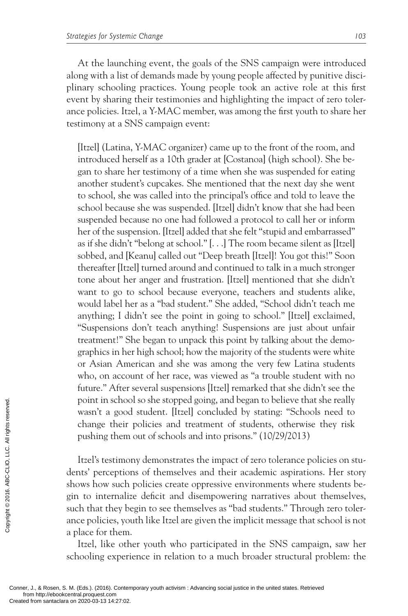At the launching event, the goals of the SNS campaign were introduced along with a list of demands made by young people affected by punitive disciplinary schooling practices. Young people took an active role at this first event by sharing their testimonies and highlighting the impact of zero tolerance policies. Itzel, a Y-MAC member, was among the first youth to share her testimony at a SNS campaign event:

[Itzel] (Latina, Y-MAC organizer) came up to the front of the room, and introduced herself as a 10th grader at [Costanoa] (high school). She began to share her testimony of a time when she was suspended for eating another student's cupcakes. She mentioned that the next day she went to school, she was called into the principal's office and told to leave the school because she was suspended. [Itzel] didn't know that she had been suspended because no one had followed a protocol to call her or inform her of the suspension. [Itzel] added that she felt "stupid and embarrassed" as if she didn't "belong at school." [. . .] The room became silent as [Itzel] sobbed, and [Keanu] called out "Deep breath [Itzel]! You got this!" Soon thereafter [Itzel] turned around and continued to talk in a much stronger tone about her anger and frustration. [Itzel] mentioned that she didn't want to go to school because everyone, teachers and students alike, would label her as a "bad student." She added, "School didn't teach me anything; I didn't see the point in going to school." [Itzel] exclaimed, "Suspensions don't teach anything! Suspensions are just about unfair treatment!" She began to unpack this point by talking about the demographics in her high school; how the majority of the students were white or Asian American and she was among the very few Latina students who, on account of her race, was viewed as "a trouble student with no future." After several suspensions [Itzel] remarked that she didn't see the point in school so she stopped going, and began to believe that she really wasn't a good student. [Itzel] concluded by stating: "Schools need to change their policies and treatment of students, otherwise they risk pushing them out of schools and into prisons." (10/29/2013)

Itzel's testimony demonstrates the impact of zero tolerance policies on students' perceptions of themselves and their academic aspirations. Her story shows how such policies create oppressive environments where students begin to internalize deficit and disempowering narratives about themselves, such that they begin to see themselves as "bad students." Through zero tolerance policies, youth like Itzel are given the implicit message that school is not a place for them. France of the pushing them<br>
generator of the pushing them<br>
dents' perception<br>
dents' perception<br>
shows how such<br>
gin to internaliz<br>
generation such that they by<br>
ance policies, you<br>
a place for them<br>
Itzel, like oth<br>
schoo

Itzel, like other youth who participated in the SNS campaign, saw her schooling experience in relation to a much broader structural problem: the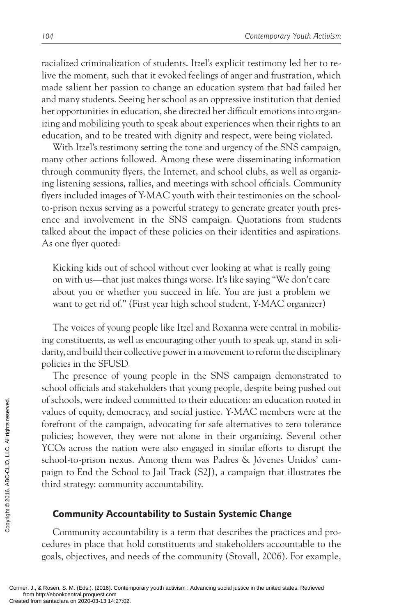racialized criminalization of students. Itzel's explicit testimony led her to relive the moment, such that it evoked feelings of anger and frustration, which made salient her passion to change an education system that had failed her and many students. Seeing her school as an oppressive institution that denied her opportunities in education, she directed her difficult emotions into organizing and mobilizing youth to speak about experiences when their rights to an education, and to be treated with dignity and respect, were being violated.

With Itzel's testimony setting the tone and urgency of the SNS campaign, many other actions followed. Among these were disseminating information through community flyers, the Internet, and school clubs, as well as organizing listening sessions, rallies, and meetings with school officials. Community flyers included images of Y-MAC youth with their testimonies on the schoolto-prison nexus serving as a powerful strategy to generate greater youth presence and involvement in the SNS campaign. Quotations from students talked about the impact of these policies on their identities and aspirations. As one flyer quoted:

Kicking kids out of school without ever looking at what is really going on with us—that just makes things worse. It's like saying "We don't care about you or whether you succeed in life. You are just a problem we want to get rid of." (First year high school student, Y-MAC organizer)

The voices of young people like Itzel and Roxanna were central in mobilizing constituents, as well as encouraging other youth to speak up, stand in solidarity, and build their collective power in a movement to reform the disciplinary policies in the SFUSD.

The presence of young people in the SNS campaign demonstrated to school officials and stakeholders that young people, despite being pushed out of schools, were indeed committed to their education: an education rooted in values of equity, democracy, and social justice. Y-MAC members were at the forefront of the campaign, advocating for safe alternatives to zero tolerance policies; however, they were not alone in their organizing. Several other YCOs across the nation were also engaged in similar efforts to disrupt the school-to-prison nexus. Among them was Padres & Jóvenes Unidos' campaign to End the School to Jail Track (S2J), a campaign that illustrates the third strategy: community accountability. The discussion of schools, were indeed<br>
values of equity, democration of the campa<br>
policies; however, the<br>
YCOs across the nation school-to-prison nexus<br>
paign to End the School<br>
third strategy: commun<br>
third strategy: co

#### **Community Accountability to Sustain Systemic Change**

Community accountability is a term that describes the practices and procedures in place that hold constituents and stakeholders accountable to the goals, objectives, and needs of the community (Stovall, 2006). For example,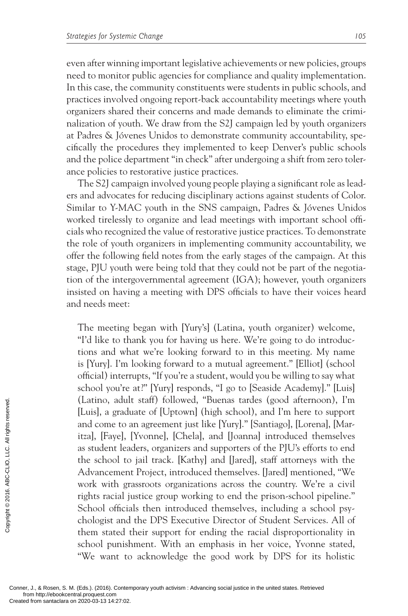even after winning important legislative achievements or new policies, groups need to monitor public agencies for compliance and quality implementation. In this case, the community constituents were students in public schools, and practices involved ongoing report-back accountability meetings where youth organizers shared their concerns and made demands to eliminate the criminalization of youth. We draw from the S2J campaign led by youth organizers at Padres & Jóvenes Unidos to demonstrate community accountability, specifically the procedures they implemented to keep Denver's public schools and the police department "in check" after undergoing a shift from zero tolerance policies to restorative justice practices.

The S2J campaign involved young people playing a significant role as leaders and advocates for reducing disciplinary actions against students of Color. Similar to Y-MAC youth in the SNS campaign, Padres & Jóvenes Unidos worked tirelessly to organize and lead meetings with important school officials who recognized the value of restorative justice practices. To demonstrate the role of youth organizers in implementing community accountability, we offer the following field notes from the early stages of the campaign. At this stage, PJU youth were being told that they could not be part of the negotiation of the intergovernmental agreement (IGA); however, youth organizers insisted on having a meeting with DPS officials to have their voices heard and needs meet:

The meeting began with [Yury's] (Latina, youth organizer) welcome, "I'd like to thank you for having us here. We're going to do introductions and what we're looking forward to in this meeting. My name is [Yury]. I'm looking forward to a mutual agreement." [Elliot] (school official) interrupts, "If you're a student, would you be willing to say what school you're at?" [Yury] responds, "I go to [Seaside Academy]." [Luis] (Latino, adult staff) followed, "Buenas tardes (good afternoon), I'm [Luis], a graduate of [Uptown] (high school), and I'm here to support and come to an agreement just like [Yury]." [Santiago], [Lorena], [Maritza], [Faye], [Yvonne], [Chela], and [Joanna] introduced themselves as student leaders, organizers and supporters of the PJU's efforts to end the school to jail track. [Kathy] and [Jared], staff attorneys with the Advancement Project, introduced themselves. [Jared] mentioned, "We work with grassroots organizations across the country. We're a civil rights racial justice group working to end the prison-school pipeline." School officials then introduced themselves, including a school psychologist and the DPS Executive Director of Student Services. All of them stated their support for ending the racial disproportionality in school punishment. With an emphasis in her voice, Yvonne stated, "We want to acknowledge the good work by DPS for its holistic Exerces the same of the school official<br>grade interaction of the school to itreal, [Faye],<br>as student lead<br>the school to Advancemen<br>work with gr<br>rights racial j<br>School official<br>discression of the school punish<br>"We want to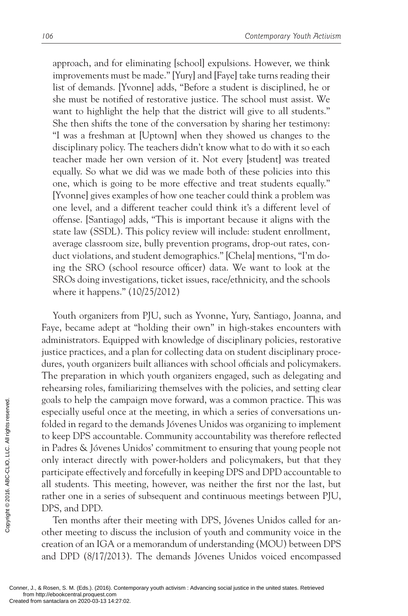approach, and for eliminating [school] expulsions. However, we think improvements must be made." [Yury] and [Faye] take turns reading their list of demands. [Yvonne] adds, "Before a student is disciplined, he or she must be notified of restorative justice. The school must assist. We want to highlight the help that the district will give to all students." She then shifts the tone of the conversation by sharing her testimony: "I was a freshman at [Uptown] when they showed us changes to the disciplinary policy. The teachers didn't know what to do with it so each teacher made her own version of it. Not every [student] was treated equally. So what we did was we made both of these policies into this one, which is going to be more effective and treat students equally." [Yvonne] gives examples of how one teacher could think a problem was one level, and a different teacher could think it's a different level of offense. [Santiago] adds, "This is important because it aligns with the state law (SSDL). This policy review will include: student enrollment, average classroom size, bully prevention programs, drop-out rates, conduct violations, and student demographics." [Chela] mentions, "I'm doing the SRO (school resource officer) data. We want to look at the SROs doing investigations, ticket issues, race/ethnicity, and the schools where it happens." (10/25/2012)

Youth organizers from PJU, such as Yvonne, Yury, Santiago, Joanna, and Faye, became adept at "holding their own" in high-stakes encounters with administrators. Equipped with knowledge of disciplinary policies, restorative justice practices, and a plan for collecting data on student disciplinary procedures, youth organizers built alliances with school officials and policymakers. The preparation in which youth organizers engaged, such as delegating and rehearsing roles, familiarizing themselves with the policies, and setting clear goals to help the campaign move forward, was a common practice. This was especially useful once at the meeting, in which a series of conversations unfolded in regard to the demands Jóvenes Unidos was organizing to implement to keep DPS accountable. Community accountability was therefore reflected in Padres & Jóvenes Unidos' commitment to ensuring that young people not only interact directly with power-holders and policymakers, but that they participate effectively and forcefully in keeping DPS and DPD accountable to all students. This meeting, however, was neither the first nor the last, but rather one in a series of subsequent and continuous meetings between PJU, DPS, and DPD. France of the camp<br>especially useful once a<br>folded in regard to the to<br>to keep DPS accountal<br>in Padres & Jóvenes U:<br>only interact directly<br>participate effectively a<br>all students. This mee<br>rather one in a series c<br>DPS, and

Ten months after their meeting with DPS, Jóvenes Unidos called for another meeting to discuss the inclusion of youth and community voice in the creation of an IGA or a memorandum of understanding (MOU) between DPS and DPD (8/17/2013). The demands Jóvenes Unidos voiced encompassed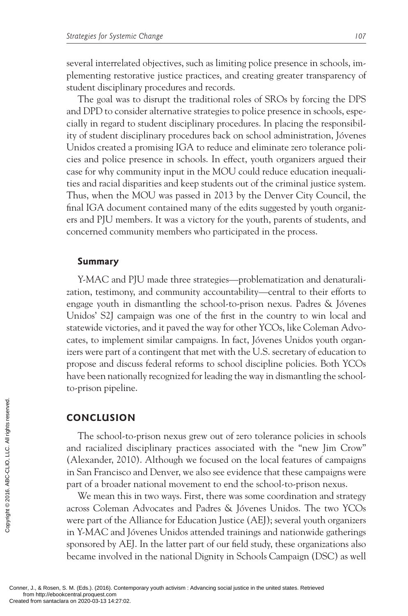several interrelated objectives, such as limiting police presence in schools, implementing restorative justice practices, and creating greater transparency of student disciplinary procedures and records.

The goal was to disrupt the traditional roles of SROs by forcing the DPS and DPD to consider alternative strategies to police presence in schools, especially in regard to student disciplinary procedures. In placing the responsibility of student disciplinary procedures back on school administration, Jóvenes Unidos created a promising IGA to reduce and eliminate zero tolerance policies and police presence in schools. In effect, youth organizers argued their case for why community input in the MOU could reduce education inequalities and racial disparities and keep students out of the criminal justice system. Thus, when the MOU was passed in 2013 by the Denver City Council, the final IGA document contained many of the edits suggested by youth organizers and PJU members. It was a victory for the youth, parents of students, and concerned community members who participated in the process.

#### **Summary**

Y-MAC and PJU made three strategies—problematization and denaturalization, testimony, and community accountability—central to their efforts to engage youth in dismantling the school-to-prison nexus. Padres & Jóvenes Unidos' S2J campaign was one of the first in the country to win local and statewide victories, and it paved the way for other YCOs, like Coleman Advocates, to implement similar campaigns. In fact, Jóvenes Unidos youth organizers were part of a contingent that met with the U.S. secretary of education to propose and discuss federal reforms to school discipline policies. Both YCOs have been nationally recognized for leading the way in dismantling the schoolto-prison pipeline.

#### **CONCLUSION**

The school-to-prison nexus grew out of zero tolerance policies in schools and racialized disciplinary practices associated with the "new Jim Crow" (Alexander, 2010). Although we focused on the local features of campaigns in San Francisco and Denver, we also see evidence that these campaigns were part of a broader national movement to end the school-to-prison nexus.

We mean this in two ways. First, there was some coordination and strategy across Coleman Advocates and Padres & Jóvenes Unidos. The two YCOs were part of the Alliance for Education Justice (AEJ); several youth organizers in Y-MAC and Jóvenes Unidos attended trainings and nationwide gatherings sponsored by AEJ. In the latter part of our field study, these organizations also became involved in the national Dignity in Schools Campaign (DSC) as well Example 2020<br>
Experimentation of a screene of the chool-to and racialized developed in San Francisco<br>
oper of a broader<br>
We mean this across Coleman<br>
were part of the *L*<br>
in Y-MAC and J<br>
sponsored by AE<br>
became involved<br>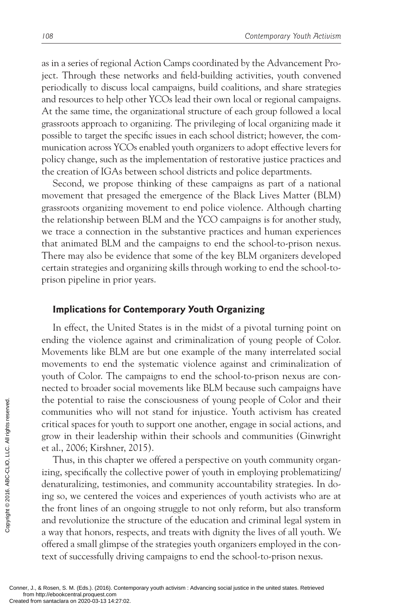as in a series of regional Action Camps coordinated by the Advancement Project. Through these networks and field-building activities, youth convened periodically to discuss local campaigns, build coalitions, and share strategies and resources to help other YCOs lead their own local or regional campaigns. At the same time, the organizational structure of each group followed a local grassroots approach to organizing. The privileging of local organizing made it possible to target the specific issues in each school district; however, the communication across YCOs enabled youth organizers to adopt effective levers for policy change, such as the implementation of restorative justice practices and the creation of IGAs between school districts and police departments.

Second, we propose thinking of these campaigns as part of a national movement that presaged the emergence of the Black Lives Matter (BLM) grassroots organizing movement to end police violence. Although charting the relationship between BLM and the YCO campaigns is for another study, we trace a connection in the substantive practices and human experiences that animated BLM and the campaigns to end the school-to-prison nexus. There may also be evidence that some of the key BLM organizers developed certain strategies and organizing skills through working to end the school-toprison pipeline in prior years.

#### **Implications for Contemporary Youth Organizing**

In effect, the United States is in the midst of a pivotal turning point on ending the violence against and criminalization of young people of Color. Movements like BLM are but one example of the many interrelated social movements to end the systematic violence against and criminalization of youth of Color. The campaigns to end the school-to-prison nexus are connected to broader social movements like BLM because such campaigns have the potential to raise the consciousness of young people of Color and their communities who will not stand for injustice. Youth activism has created critical spaces for youth to support one another, engage in social actions, and grow in their leadership within their schools and communities (Ginwright et al., 2006; Kirshner, 2015).

Thus, in this chapter we offered a perspective on youth community organizing, specifically the collective power of youth in employing problematizing/ denaturalizing, testimonies, and community accountability strategies. In doing so, we centered the voices and experiences of youth activists who are at the front lines of an ongoing struggle to not only reform, but also transform and revolutionize the structure of the education and criminal legal system in a way that honors, respects, and treats with dignity the lives of all youth. We offered a small glimpse of the strategies youth organizers employed in the context of successfully driving campaigns to end the school-to-prison nexus. Example the potential to raise to communities who will<br>example the creation of the same of the same of the same of the same in this chapte<br>izing, specifically the condenturalizing, testimo<br>ing so, we centered the the front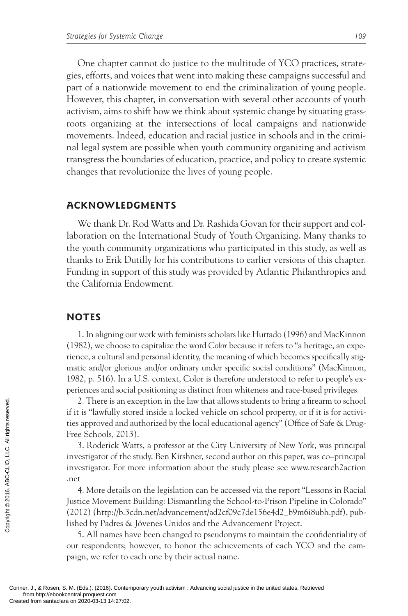<span id="page-17-0"></span>One chapter cannot do justice to the multitude of YCO practices, strategies, efforts, and voices that went into making these campaigns successful and part of a nationwide movement to end the criminalization of young people. However, this chapter, in conversation with several other accounts of youth activism, aims to shift how we think about systemic change by situating grassroots organizing at the intersections of local campaigns and nationwide movements. Indeed, education and racial justice in schools and in the criminal legal system are possible when youth community organizing and activism transgress the boundaries of education, practice, and policy to create systemic changes that revolutionize the lives of young people.

#### **ACKNOWLEDGMENTS**

We thank Dr. Rod Watts and Dr. Rashida Govan for their support and collaboration on the International Study of Youth Organizing. Many thanks to the youth community organizations who participated in this study, as well as thanks to Erik Dutilly for his contributions to earlier versions of this chapter. Funding in support of this study was provided by Atlantic Philanthropies and the California Endowment.

#### **NOTES**

1. In aligning our work with feminists scholars like Hurtado (1996) and MacKinnon (1982), we choose to capitalize the word *Color* because it refers to "a heritage, an experience, a cultural and personal identity, the meaning of which becomes specifically stigmatic and/or glorious and/or ordinary under specific social conditions" (MacKinnon, 1982, p. 516). In a U.S. context, Color is therefore understood to refer to people's experiences and social positioning as distinct from whiteness and race-based privileges.

2. There is an exception in the law that allows students to bring a firearm to school if it is "lawfully stored inside a locked vehicle on school property, or if it is for activities approved and authorized by the local educational agency" (Office of Safe & Drug-Free Schools, 2013).

3. Roderick Watts, a professor at the City University of New York, was principal investigator of the study. Ben Kirshner, second author on this paper, was co–principal investigator. For more information about the study please see [www.research2action](www.research2action.net) [.net](www.research2action.net)

4. More details on the legislation can be accessed via the report "Lessons in Racial Justice Movement Building: Dismantling the School-to-Prison Pipeline in Colorado" (2012) [\(http://b.3cdn.net/advancement/ad2cf09c7de156e4d2\\_b9m6i8ubh.pdf\)](http://b.3cdn.net/advancement/ad2cf09c7de156e4d2_b9m6i8ubh.pdf), published by Padres & Jóvenes Unidos and the Advancement Project. Exerces in the same of the details of the details of the details of the details of the details of the details of the details of the details of the details of the details of the details of the details of the details of the

5. All names have been changed to pseudonyms to maintain the confidentiality of our respondents; however, to honor the achievements of each YCO and the campaign, we refer to each one by their actual name.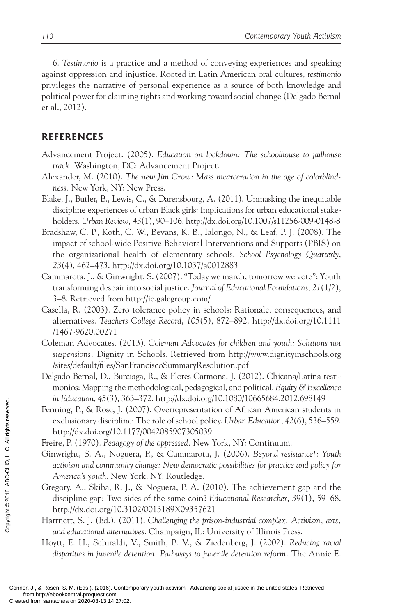<span id="page-18-0"></span>6. *Testimonio* is a practice and a method of conveying experiences and speaking against oppression and injustice. Rooted in Latin American oral cultures, *testimonio* privileges the narrative of personal experience as a source of both knowledge and political power for claiming rights and working toward social change (Delgado Bernal et al., 2012).

## **REFERENCES**

- Advancement Project. (2005). *Education on lockdown: The schoolhouse to jailhouse track.* Washington, DC: Advancement Project.
- Alexander, M. (2010). *The new Jim Crow: Mass incarceration in the age of colorblindness.* New York, NY: New Press.
- Blake, J., Butler, B., Lewis, C., & Darensbourg, A. (2011). Unmasking the inequitable discipline experiences of urban Black girls: Implications for urban educational stakeholders. *Urban Review, 43*(1), 90–106[. http://dx.doi.org/10.1007/s11256-009-0148-8](http://dx.doi.org/10.1007/s11256-009-0148-8)
- Bradshaw, C. P., Koth, C. W., Bevans, K. B., Ialongo, N., & Leaf, P. J. (2008). The impact of school-wide Positive Behavioral Interventions and Supports (PBIS) on the organizational health of elementary schools. *School Psychology Quarterly*, *23*(4), 462–473[. http://dx.doi.org/10.1037/a0012883](http://dx.doi.org/10.1037/a0012883)
- Cammarota, J., & Ginwright, S. (2007). "Today we march, tomorrow we vote": Youth transforming despair into social justice. *Journal of Educational Foundations*, *21*(1/2), 3–8. Retrieved fro[m http://ic.galegroup.com/](http://ic.galegroup.com/)
- Casella, R. (2003). Zero tolerance policy in schools: Rationale, consequences, and alternatives. *Teachers College Record*, *105*(5), 872–892. [http://dx.doi.org/10.1111](http://dx.doi.org/10.1111/1467-9620.00271) [/1467-9620.00271](http://dx.doi.org/10.1111/1467-9620.00271)
- Coleman Advocates. (2013). *Coleman Advocates for children and youth: Solutions not suspensions.* Dignity in Schools. Retrieved from [http://www.dignityinschools.org](http://www.dignityinschools.org/sites/default/files/SanFranciscoSummaryResolution.pdf) [/sites/default/files/SanFranciscoSummaryResolution.pdf](http://www.dignityinschools.org/sites/default/files/SanFranciscoSummaryResolution.pdf)
- Delgado Bernal, D., Burciaga, R., & Flores Carmona, J. (2012). Chicana/Latina testimonios: Mapping the methodological, pedagogical, and political. *Equity & Excellence in Education*, *45*(3), 363–372[. http://dx.doi.org/10.1080/10665684.2012.698149](http://dx.doi.org/10.1080/10665684.2012.698149)
- Fenning, P., & Rose, J. (2007). Overrepresentation of African American students in exclusionary discipline: The role of school policy. *Urban Education*, *42*(6), 536–559. <http://dx.doi.org/10.1177/0042085907305039> From From Santaclara on 2016.<br>
Fenning, P., & Rose, J. (2<br>
exclusionary discipline<br>
http://dx.doi.org/10.11<br>
Freire, P. (1970). Pedagog<br>
Ginwright, S. A., Nogue<br>
activism and community<br>
America's youth. New<br>
Gregory, A.,
	- Freire, P. (1970). *Pedagogy of the oppressed.* New York, NY: Continuum.
	- Ginwright, S. A., Noguera, P., & Cammarota, J. (2006). *Beyond resistance!: Youth activism and community change: New democratic possibilities for practice and policy for America's youth*. New York, NY: Routledge.
	- Gregory, A., Skiba, R. J., & Noguera, P. A. (2010). The achievement gap and the discipline gap: Two sides of the same coin? *Educational Researcher*, *39*(1), 59–68. <http://dx.doi.org/10.3102/0013189X09357621>
	- Hartnett, S. J. (Ed.). (2011). *Challenging the prison-industrial complex: Activism, arts, and educational alternatives*. Champaign, IL: University of Illinois Press.
	- Hoytt, E. H., Schiraldi, V., Smith, B. V., & Ziedenberg, J. (2002). *Reducing racial disparities in juvenile detention. Pathways to juvenile detention reform.* The Annie E.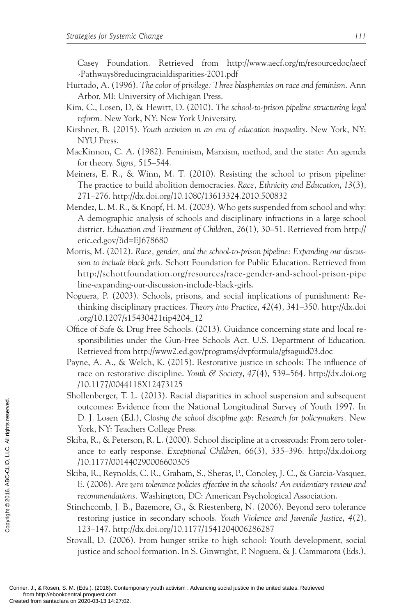Casey Foundation. Retrieved from [http://www.aecf.org/m/resourcedoc/aecf](http://www.aecf.org/m/resourcedoc/aecf-Pathways8reducingracialdisparities-2001.pdf) [-Pathways8reducingracialdisparities-2001.pdf](http://www.aecf.org/m/resourcedoc/aecf-Pathways8reducingracialdisparities-2001.pdf)

- Hurtado, A. (1996). *The color of privilege: Three blasphemies on race and feminism*. Ann Arbor, MI: University of Michigan Press.
- Kim, C., Losen, D, & Hewitt, D. (2010). *The school-to-prison pipeline structuring legal reform.* New York, NY: New York University.
- Kirshner, B. (2015). *Youth activism in an era of education inequality*. New York, NY: NYU Press.
- MacKinnon, C. A. (1982). Feminism, Marxism, method, and the state: An agenda for theory. *Signs,* 515–544.
- Meiners, E. R., & Winn, M. T. (2010). Resisting the school to prison pipeline: The practice to build abolition democracies. *Race, Ethnicity and Education*, *13*(3), 271–276[. http://dx.doi.org/10.1080/13613324.2010.500832](http://dx.doi.org/10.1080/13613324.2010.500832)
- Mendez, L. M. R., & Knopf, H. M. (2003). Who gets suspended from school and why: A demographic analysis of schools and disciplinary infractions in a large school district. *Education and Treatment of Children*, *26*(1), 30–51. Retrieved fro[m http://](http://eric.ed.gov/?id=EJ678680) [eric.ed.gov/?id=EJ678680](http://eric.ed.gov/?id=EJ678680)
- Morris, M. (2012). *Race, gender, and the school-to-prison pipeline: Expanding our discussion to include black girls.* Schott Foundation for Public Education. Retrieved from [http://schottfoundation.org/resources/race-gender-and-school-prison-pipe](http://schottfoundation.org/resources/race-gender-and-school-prison-pipeline-expanding-our-discussion-include-black-girls) [line-expanding-our-discussion-include-black-girls.](http://schottfoundation.org/resources/race-gender-and-school-prison-pipeline-expanding-our-discussion-include-black-girls)
- Noguera, P. (2003). Schools, prisons, and social implications of punishment: Rethinking disciplinary practices. *Theory into Practice*, *42*(4), 341–350. [http://dx.doi](http://dx.doi.org/10.1207/s15430421tip4204_12) [.org/10.1207/s15430421tip4204\\_12](http://dx.doi.org/10.1207/s15430421tip4204_12)
- Office of Safe & Drug Free Schools. (2013). Guidance concerning state and local responsibilities under the Gun-Free Schools Act. U.S. Department of Education. Retrieved from<http://www2.ed.gov/programs/dvpformula/gfsaguid03.doc>
- Payne, A. A., & Welch, K. (2015). Restorative justice in schools: The influence of race on restorative discipline. *Youth & Society*, *47*(4), 539–564. [http://dx.doi.org](http://dx.doi.org/10.1177/0044118X12473125) [/10.1177/0044118X12473125](http://dx.doi.org/10.1177/0044118X12473125)
- Shollenberger, T. L. (2013). Racial disparities in school suspension and subsequent outcomes: Evidence from the National Longitudinal Survey of Youth 1997. In D. J. Losen (Ed.), *Closing the school discipline gap: Research for policymakers.* New York, NY: Teachers College Press. Exerces the most controller of the same to early<br>
Created from santaclara on 2020-03-13 14:27:02.<br>
Conner, J., & Rosen, S. M. (Eds.). (2016). Conter<br>
Created from santaclara on 2020-03-13 14:27:02.<br>
Created from santaclara
	- Skiba, R., & Peterson, R. L. (2000). School discipline at a crossroads: From zero tolerance to early response. *Exceptional Children*, *66*(3), 335–396. [http://dx.doi.org](http://dx.doi.org/10.1177/001440290006600305) [/10.1177/001440290006600305](http://dx.doi.org/10.1177/001440290006600305)
	- Skiba, R., Reynolds, C. R., Graham, S., Sheras, P., Conoley, J. C., & Garcia-Vasquez, E. (2006). *Are zero tolerance policies effective in the schools? An evidentiary review and recommendations.* Washington, DC: American Psychological Association.
	- Stinchcomb, J. B., Bazemore, G., & Riestenberg, N. (2006). Beyond zero tolerance restoring justice in secondary schools. *Youth Violence and Juvenile Justice*, *4*(2), 123–147[. http://dx.doi.org/10.1177/1541204006286287](http://dx.doi.org/10.1177/1541204006286287)
	- Stovall, D. (2006). From hunger strike to high school: Youth development, social justice and school formation. In S. Ginwright, P. Noguera, & J. Cammarota (Eds.),